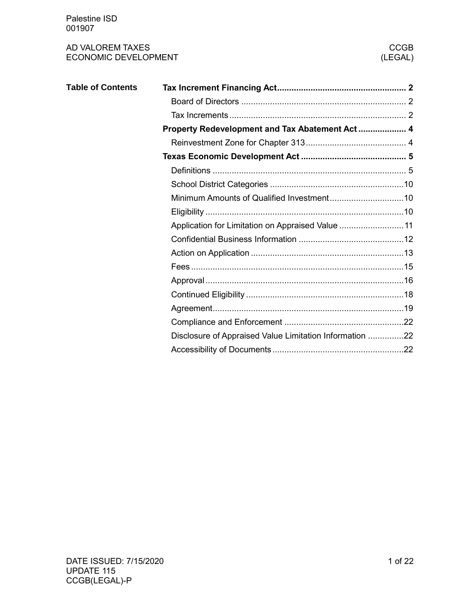| <b>Table of Contents</b> |                                                         |  |
|--------------------------|---------------------------------------------------------|--|
|                          |                                                         |  |
|                          |                                                         |  |
|                          | Property Redevelopment and Tax Abatement Act 4          |  |
|                          |                                                         |  |
|                          |                                                         |  |
|                          |                                                         |  |
|                          |                                                         |  |
|                          |                                                         |  |
|                          |                                                         |  |
|                          | Application for Limitation on Appraised Value  11       |  |
|                          |                                                         |  |
|                          |                                                         |  |
|                          |                                                         |  |
|                          |                                                         |  |
|                          |                                                         |  |
|                          |                                                         |  |
|                          |                                                         |  |
|                          | Disclosure of Appraised Value Limitation Information 22 |  |
|                          |                                                         |  |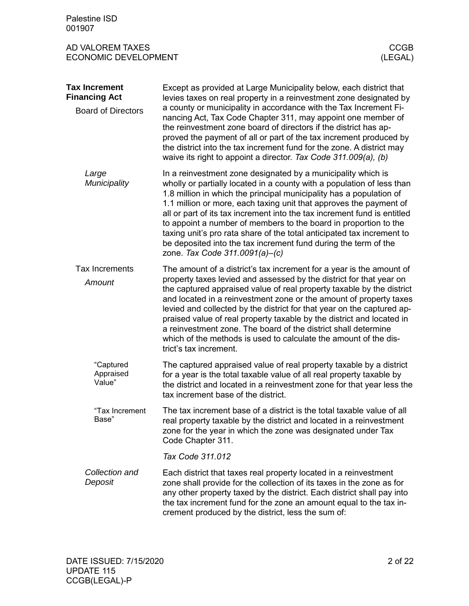<span id="page-1-2"></span><span id="page-1-1"></span><span id="page-1-0"></span>

| Palestine ISD<br>001907                                                   |                                                                                                                                                                                                                                                                                                                                                                                                                                                                                                                                                                                                                    |             |
|---------------------------------------------------------------------------|--------------------------------------------------------------------------------------------------------------------------------------------------------------------------------------------------------------------------------------------------------------------------------------------------------------------------------------------------------------------------------------------------------------------------------------------------------------------------------------------------------------------------------------------------------------------------------------------------------------------|-------------|
| AD VALOREM TAXES<br><b>ECONOMIC DEVELOPMENT</b>                           | (LEGAL)                                                                                                                                                                                                                                                                                                                                                                                                                                                                                                                                                                                                            | <b>CCGB</b> |
| <b>Tax Increment</b><br><b>Financing Act</b><br><b>Board of Directors</b> | Except as provided at Large Municipality below, each district that<br>levies taxes on real property in a reinvestment zone designated by<br>a county or municipality in accordance with the Tax Increment Fi-<br>nancing Act, Tax Code Chapter 311, may appoint one member of<br>the reinvestment zone board of directors if the district has ap-<br>proved the payment of all or part of the tax increment produced by<br>the district into the tax increment fund for the zone. A district may<br>waive its right to appoint a director. Tax Code 311.009(a), (b)                                                |             |
| Large<br>Municipality                                                     | In a reinvestment zone designated by a municipality which is<br>wholly or partially located in a county with a population of less than<br>1.8 million in which the principal municipality has a population of<br>1.1 million or more, each taxing unit that approves the payment of<br>all or part of its tax increment into the tax increment fund is entitled<br>to appoint a number of members to the board in proportion to the<br>taxing unit's pro rata share of the total anticipated tax increment to<br>be deposited into the tax increment fund during the term of the<br>zone. Tax Code 311.0091(a)-(c) |             |
| <b>Tax Increments</b><br>Amount                                           | The amount of a district's tax increment for a year is the amount of<br>property taxes levied and assessed by the district for that year on<br>the captured appraised value of real property taxable by the district<br>and located in a reinvestment zone or the amount of property taxes<br>levied and collected by the district for that year on the captured ap-<br>praised value of real property taxable by the district and located in<br>a reinvestment zone. The board of the district shall determine<br>which of the methods is used to calculate the amount of the dis-<br>trict's tax increment.      |             |
| "Captured<br>Appraised<br>Value"                                          | The captured appraised value of real property taxable by a district<br>for a year is the total taxable value of all real property taxable by<br>the district and located in a reinvestment zone for that year less the<br>tax increment base of the district.                                                                                                                                                                                                                                                                                                                                                      |             |
| "Tax Increment<br>Base"                                                   | The tax increment base of a district is the total taxable value of all<br>real property taxable by the district and located in a reinvestment<br>zone for the year in which the zone was designated under Tax<br>Code Chapter 311.                                                                                                                                                                                                                                                                                                                                                                                 |             |
|                                                                           | Tax Code 311.012                                                                                                                                                                                                                                                                                                                                                                                                                                                                                                                                                                                                   |             |
| Collection and<br>Deposit                                                 | Each district that taxes real property located in a reinvestment<br>zone shall provide for the collection of its taxes in the zone as for<br>any other property taxed by the district. Each district shall pay into<br>the tax increment fund for the zone an amount equal to the tax in-<br>crement produced by the district, less the sum of:                                                                                                                                                                                                                                                                    |             |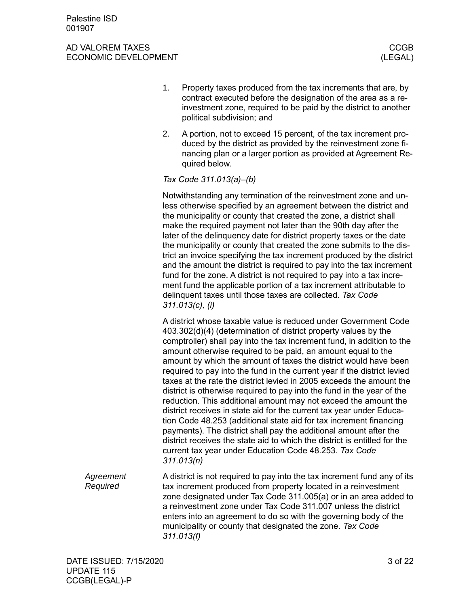- 1. Property taxes produced from the tax increments that are, by contract executed before the designation of the area as a reinvestment zone, required to be paid by the district to another political subdivision; and
- 2. A portion, not to exceed 15 percent, of the tax increment produced by the district as provided by the reinvestment zone financing plan or a larger portion as provided at Agreement Required below.

#### *Tax Code 311.013(a)–(b)*

Notwithstanding any termination of the reinvestment zone and unless otherwise specified by an agreement between the district and the municipality or county that created the zone, a district shall make the required payment not later than the 90th day after the later of the delinquency date for district property taxes or the date the municipality or county that created the zone submits to the district an invoice specifying the tax increment produced by the district and the amount the district is required to pay into the tax increment fund for the zone. A district is not required to pay into a tax increment fund the applicable portion of a tax increment attributable to delinquent taxes until those taxes are collected. *Tax Code 311.013(c), (i)*

A district whose taxable value is reduced under Government Code 403.302(d)(4) (determination of district property values by the comptroller) shall pay into the tax increment fund, in addition to the amount otherwise required to be paid, an amount equal to the amount by which the amount of taxes the district would have been required to pay into the fund in the current year if the district levied taxes at the rate the district levied in 2005 exceeds the amount the district is otherwise required to pay into the fund in the year of the reduction. This additional amount may not exceed the amount the district receives in state aid for the current tax year under Education Code 48.253 (additional state aid for tax increment financing payments). The district shall pay the additional amount after the district receives the state aid to which the district is entitled for the current tax year under Education Code 48.253. *Tax Code 311.013(n)*

A district is not required to pay into the tax increment fund any of its tax increment produced from property located in a reinvestment zone designated under Tax Code 311.005(a) or in an area added to a reinvestment zone under Tax Code 311.007 unless the district enters into an agreement to do so with the governing body of the municipality or county that designated the zone. *Tax Code 311.013(f) Agreement Required*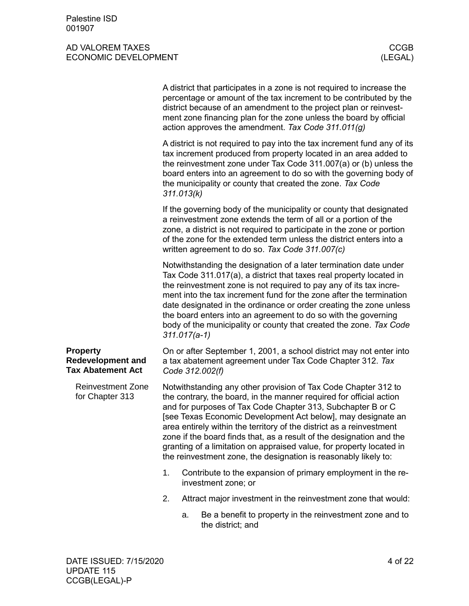<span id="page-3-1"></span><span id="page-3-0"></span>

|                                                                         |    |                | A district that participates in a zone is not required to increase the<br>percentage or amount of the tax increment to be contributed by the<br>district because of an amendment to the project plan or reinvest-<br>ment zone financing plan for the zone unless the board by official<br>action approves the amendment. Tax Code 311.011(g)                                                                                                                                                                                                                   |
|-------------------------------------------------------------------------|----|----------------|-----------------------------------------------------------------------------------------------------------------------------------------------------------------------------------------------------------------------------------------------------------------------------------------------------------------------------------------------------------------------------------------------------------------------------------------------------------------------------------------------------------------------------------------------------------------|
|                                                                         |    | 311.013(k)     | A district is not required to pay into the tax increment fund any of its<br>tax increment produced from property located in an area added to<br>the reinvestment zone under Tax Code 311.007(a) or (b) unless the<br>board enters into an agreement to do so with the governing body of<br>the municipality or county that created the zone. Tax Code                                                                                                                                                                                                           |
|                                                                         |    |                | If the governing body of the municipality or county that designated<br>a reinvestment zone extends the term of all or a portion of the<br>zone, a district is not required to participate in the zone or portion<br>of the zone for the extended term unless the district enters into a<br>written agreement to do so. Tax Code 311.007(c)                                                                                                                                                                                                                      |
|                                                                         |    | $311.017(a-1)$ | Notwithstanding the designation of a later termination date under<br>Tax Code 311.017(a), a district that taxes real property located in<br>the reinvestment zone is not required to pay any of its tax incre-<br>ment into the tax increment fund for the zone after the termination<br>date designated in the ordinance or order creating the zone unless<br>the board enters into an agreement to do so with the governing<br>body of the municipality or county that created the zone. Tax Code                                                             |
| <b>Property</b><br><b>Redevelopment and</b><br><b>Tax Abatement Act</b> |    |                | On or after September 1, 2001, a school district may not enter into<br>a tax abatement agreement under Tax Code Chapter 312. Tax<br>Code 312.002(f)                                                                                                                                                                                                                                                                                                                                                                                                             |
| <b>Reinvestment Zone</b><br>for Chapter 313                             |    |                | Notwithstanding any other provision of Tax Code Chapter 312 to<br>the contrary, the board, in the manner required for official action<br>and for purposes of Tax Code Chapter 313, Subchapter B or C<br>[see Texas Economic Development Act below], may designate an<br>area entirely within the territory of the district as a reinvestment<br>zone if the board finds that, as a result of the designation and the<br>granting of a limitation on appraised value, for property located in<br>the reinvestment zone, the designation is reasonably likely to: |
|                                                                         | 1. |                | Contribute to the expansion of primary employment in the re-<br>investment zone; or                                                                                                                                                                                                                                                                                                                                                                                                                                                                             |
|                                                                         | 2. |                | Attract major investment in the reinvestment zone that would:                                                                                                                                                                                                                                                                                                                                                                                                                                                                                                   |
|                                                                         |    | a.             | Be a benefit to property in the reinvestment zone and to<br>the district; and                                                                                                                                                                                                                                                                                                                                                                                                                                                                                   |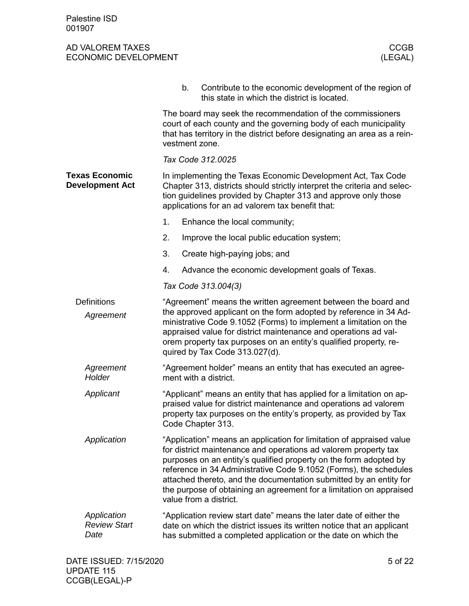<span id="page-4-1"></span><span id="page-4-0"></span>

|                                                 | b.             | Contribute to the economic development of the region of<br>this state in which the district is located.                                                                                                                                                                                                                                                                                                                                                  |
|-------------------------------------------------|----------------|----------------------------------------------------------------------------------------------------------------------------------------------------------------------------------------------------------------------------------------------------------------------------------------------------------------------------------------------------------------------------------------------------------------------------------------------------------|
|                                                 | vestment zone. | The board may seek the recommendation of the commissioners<br>court of each county and the governing body of each municipality<br>that has territory in the district before designating an area as a rein-                                                                                                                                                                                                                                               |
|                                                 |                | Tax Code 312.0025                                                                                                                                                                                                                                                                                                                                                                                                                                        |
| <b>Texas Economic</b><br><b>Development Act</b> |                | In implementing the Texas Economic Development Act, Tax Code<br>Chapter 313, districts should strictly interpret the criteria and selec-<br>tion guidelines provided by Chapter 313 and approve only those<br>applications for an ad valorem tax benefit that:                                                                                                                                                                                           |
|                                                 | 1.             | Enhance the local community;                                                                                                                                                                                                                                                                                                                                                                                                                             |
|                                                 | 2.             | Improve the local public education system;                                                                                                                                                                                                                                                                                                                                                                                                               |
|                                                 | 3.             | Create high-paying jobs; and                                                                                                                                                                                                                                                                                                                                                                                                                             |
|                                                 | 4.             | Advance the economic development goals of Texas.                                                                                                                                                                                                                                                                                                                                                                                                         |
|                                                 |                | Tax Code 313.004(3)                                                                                                                                                                                                                                                                                                                                                                                                                                      |
| <b>Definitions</b><br>Agreement                 |                | "Agreement" means the written agreement between the board and<br>the approved applicant on the form adopted by reference in 34 Ad-<br>ministrative Code 9.1052 (Forms) to implement a limitation on the<br>appraised value for district maintenance and operations ad val-<br>orem property tax purposes on an entity's qualified property, re-<br>quired by Tax Code 313.027(d).                                                                        |
| Agreement<br>Holder                             |                | "Agreement holder" means an entity that has executed an agree-<br>ment with a district.                                                                                                                                                                                                                                                                                                                                                                  |
| Applicant                                       |                | "Applicant" means an entity that has applied for a limitation on ap-<br>praised value for district maintenance and operations ad valorem<br>property tax purposes on the entity's property, as provided by Tax<br>Code Chapter 313.                                                                                                                                                                                                                      |
| Application                                     |                | "Application" means an application for limitation of appraised value<br>for district maintenance and operations ad valorem property tax<br>purposes on an entity's qualified property on the form adopted by<br>reference in 34 Administrative Code 9.1052 (Forms), the schedules<br>attached thereto, and the documentation submitted by an entity for<br>the purpose of obtaining an agreement for a limitation on appraised<br>value from a district. |
| Application<br><b>Review Start</b><br>Date      |                | "Application review start date" means the later date of either the<br>date on which the district issues its written notice that an applicant<br>has submitted a completed application or the date on which the                                                                                                                                                                                                                                           |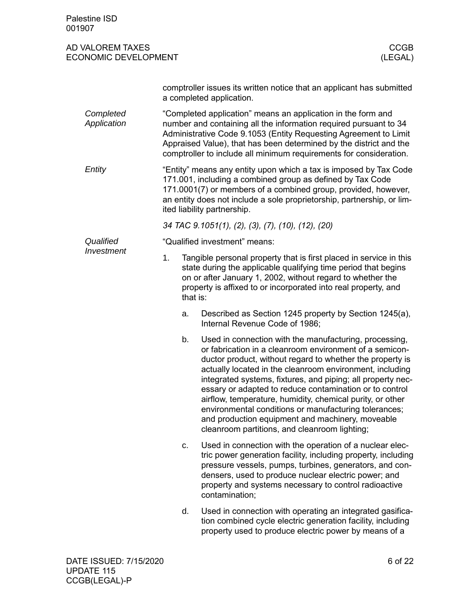| Palestine ISD<br>001907                         |                |                                                                                                                                                                                                                                                                                                                                                                                                                                                                                                                                                                                                 |
|-------------------------------------------------|----------------|-------------------------------------------------------------------------------------------------------------------------------------------------------------------------------------------------------------------------------------------------------------------------------------------------------------------------------------------------------------------------------------------------------------------------------------------------------------------------------------------------------------------------------------------------------------------------------------------------|
| AD VALOREM TAXES<br><b>ECONOMIC DEVELOPMENT</b> |                | <b>CCGB</b><br>(LEGAL)                                                                                                                                                                                                                                                                                                                                                                                                                                                                                                                                                                          |
|                                                 |                | comptroller issues its written notice that an applicant has submitted<br>a completed application.                                                                                                                                                                                                                                                                                                                                                                                                                                                                                               |
| Completed<br>Application                        |                | "Completed application" means an application in the form and<br>number and containing all the information required pursuant to 34<br>Administrative Code 9.1053 (Entity Requesting Agreement to Limit<br>Appraised Value), that has been determined by the district and the<br>comptroller to include all minimum requirements for consideration.                                                                                                                                                                                                                                               |
| Entity                                          |                | "Entity" means any entity upon which a tax is imposed by Tax Code<br>171.001, including a combined group as defined by Tax Code<br>171.0001(7) or members of a combined group, provided, however,<br>an entity does not include a sole proprietorship, partnership, or lim-<br>ited liability partnership.                                                                                                                                                                                                                                                                                      |
|                                                 |                | 34 TAC 9.1051(1), (2), (3), (7), (10), (12), (20)                                                                                                                                                                                                                                                                                                                                                                                                                                                                                                                                               |
| Qualified                                       |                | "Qualified investment" means:                                                                                                                                                                                                                                                                                                                                                                                                                                                                                                                                                                   |
| Investment                                      | 1.<br>that is: | Tangible personal property that is first placed in service in this<br>state during the applicable qualifying time period that begins<br>on or after January 1, 2002, without regard to whether the<br>property is affixed to or incorporated into real property, and                                                                                                                                                                                                                                                                                                                            |
|                                                 | a.             | Described as Section 1245 property by Section 1245(a),<br>Internal Revenue Code of 1986;                                                                                                                                                                                                                                                                                                                                                                                                                                                                                                        |
|                                                 | b.             | Used in connection with the manufacturing, processing,<br>or fabrication in a cleanroom environment of a semicon-<br>ductor product, without regard to whether the property is<br>actually located in the cleanroom environment, including<br>integrated systems, fixtures, and piping; all property nec-<br>essary or adapted to reduce contamination or to control<br>airflow, temperature, humidity, chemical purity, or other<br>environmental conditions or manufacturing tolerances;<br>and production equipment and machinery, moveable<br>cleanroom partitions, and cleanroom lighting; |
|                                                 | c.             | Used in connection with the operation of a nuclear elec-<br>tric power generation facility, including property, including<br>pressure vessels, pumps, turbines, generators, and con-<br>densers, used to produce nuclear electric power; and<br>property and systems necessary to control radioactive<br>contamination;                                                                                                                                                                                                                                                                         |
|                                                 | d.             | Used in connection with operating an integrated gasifica-<br>tion combined cycle electric generation facility, including<br>property used to produce electric power by means of a                                                                                                                                                                                                                                                                                                                                                                                                               |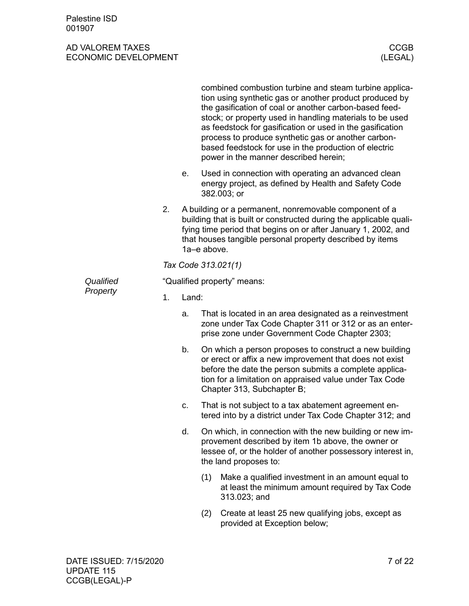|           |    |                             | combined combustion turbine and steam turbine applica-<br>tion using synthetic gas or another product produced by<br>the gasification of coal or another carbon-based feed-<br>stock; or property used in handling materials to be used<br>as feedstock for gasification or used in the gasification<br>process to produce synthetic gas or another carbon-<br>based feedstock for use in the production of electric<br>power in the manner described herein; |  |  |  |
|-----------|----|-----------------------------|---------------------------------------------------------------------------------------------------------------------------------------------------------------------------------------------------------------------------------------------------------------------------------------------------------------------------------------------------------------------------------------------------------------------------------------------------------------|--|--|--|
|           |    | е.                          | Used in connection with operating an advanced clean<br>energy project, as defined by Health and Safety Code<br>382.003; or                                                                                                                                                                                                                                                                                                                                    |  |  |  |
|           | 2. |                             | A building or a permanent, nonremovable component of a<br>building that is built or constructed during the applicable quali-<br>fying time period that begins on or after January 1, 2002, and<br>that houses tangible personal property described by items<br>1a-e above.                                                                                                                                                                                    |  |  |  |
|           |    |                             | Tax Code 313.021(1)                                                                                                                                                                                                                                                                                                                                                                                                                                           |  |  |  |
| Qualified |    | "Qualified property" means: |                                                                                                                                                                                                                                                                                                                                                                                                                                                               |  |  |  |
| Property  | 1. | Land:                       |                                                                                                                                                                                                                                                                                                                                                                                                                                                               |  |  |  |
|           |    | a.                          | That is located in an area designated as a reinvestment<br>zone under Tax Code Chapter 311 or 312 or as an enter-<br>prise zone under Government Code Chapter 2303;                                                                                                                                                                                                                                                                                           |  |  |  |
|           |    | b.                          | On which a person proposes to construct a new building<br>or erect or affix a new improvement that does not exist<br>before the date the person submits a complete applica-<br>tion for a limitation on appraised value under Tax Code<br>Chapter 313, Subchapter B;                                                                                                                                                                                          |  |  |  |
|           |    | c.                          | That is not subject to a tax abatement agreement en-<br>tered into by a district under Tax Code Chapter 312; and                                                                                                                                                                                                                                                                                                                                              |  |  |  |
|           |    | d.                          | On which, in connection with the new building or new im-<br>provement described by item 1b above, the owner or<br>lessee of, or the holder of another possessory interest in,<br>the land proposes to:                                                                                                                                                                                                                                                        |  |  |  |
|           |    |                             | Make a qualified investment in an amount equal to<br>(1)<br>at least the minimum amount required by Tax Code<br>313.023; and                                                                                                                                                                                                                                                                                                                                  |  |  |  |
|           |    |                             | Create at least 25 new qualifying jobs, except as<br>(2)<br>provided at Exception below;                                                                                                                                                                                                                                                                                                                                                                      |  |  |  |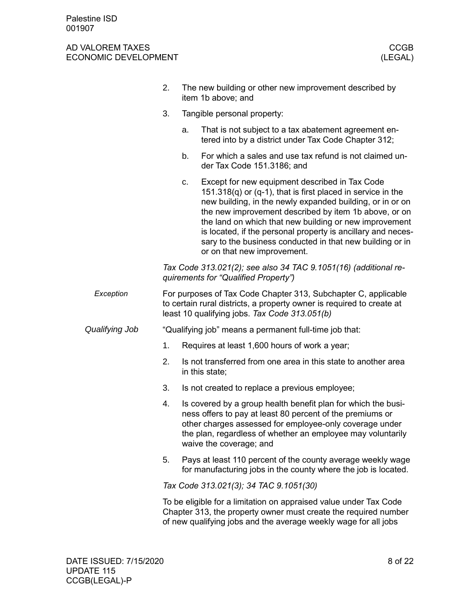|                | 2.                                                                                                                                                                                       |                                        | The new building or other new improvement described by<br>item 1b above; and                                                                                                                                                                                                                                                                                                                                                                                    |  |  |
|----------------|------------------------------------------------------------------------------------------------------------------------------------------------------------------------------------------|----------------------------------------|-----------------------------------------------------------------------------------------------------------------------------------------------------------------------------------------------------------------------------------------------------------------------------------------------------------------------------------------------------------------------------------------------------------------------------------------------------------------|--|--|
|                | 3.                                                                                                                                                                                       |                                        | Tangible personal property:                                                                                                                                                                                                                                                                                                                                                                                                                                     |  |  |
|                |                                                                                                                                                                                          | a.                                     | That is not subject to a tax abatement agreement en-<br>tered into by a district under Tax Code Chapter 312;                                                                                                                                                                                                                                                                                                                                                    |  |  |
|                |                                                                                                                                                                                          | b.                                     | For which a sales and use tax refund is not claimed un-<br>der Tax Code 151.3186; and                                                                                                                                                                                                                                                                                                                                                                           |  |  |
|                |                                                                                                                                                                                          | c.                                     | Except for new equipment described in Tax Code<br>151.318 $(q)$ or $(q-1)$ , that is first placed in service in the<br>new building, in the newly expanded building, or in or on<br>the new improvement described by item 1b above, or on<br>the land on which that new building or new improvement<br>is located, if the personal property is ancillary and neces-<br>sary to the business conducted in that new building or in<br>or on that new improvement. |  |  |
|                |                                                                                                                                                                                          |                                        | Tax Code 313.021(2); see also 34 TAC 9.1051(16) (additional re-<br>quirements for "Qualified Property")                                                                                                                                                                                                                                                                                                                                                         |  |  |
| Exception      | For purposes of Tax Code Chapter 313, Subchapter C, applicable<br>to certain rural districts, a property owner is required to create at<br>least 10 qualifying jobs. Tax Code 313.051(b) |                                        |                                                                                                                                                                                                                                                                                                                                                                                                                                                                 |  |  |
| Qualifying Job |                                                                                                                                                                                          |                                        | "Qualifying job" means a permanent full-time job that:                                                                                                                                                                                                                                                                                                                                                                                                          |  |  |
|                | 1.                                                                                                                                                                                       |                                        | Requires at least 1,600 hours of work a year;                                                                                                                                                                                                                                                                                                                                                                                                                   |  |  |
|                | 2.                                                                                                                                                                                       |                                        | Is not transferred from one area in this state to another area<br>in this state;                                                                                                                                                                                                                                                                                                                                                                                |  |  |
|                | 3.                                                                                                                                                                                       |                                        | Is not created to replace a previous employee;                                                                                                                                                                                                                                                                                                                                                                                                                  |  |  |
|                | 4.                                                                                                                                                                                       |                                        | Is covered by a group health benefit plan for which the busi-<br>ness offers to pay at least 80 percent of the premiums or<br>other charges assessed for employee-only coverage under<br>the plan, regardless of whether an employee may voluntarily<br>waive the coverage; and                                                                                                                                                                                 |  |  |
|                | 5.                                                                                                                                                                                       |                                        | Pays at least 110 percent of the county average weekly wage<br>for manufacturing jobs in the county where the job is located.                                                                                                                                                                                                                                                                                                                                   |  |  |
|                |                                                                                                                                                                                          | Tax Code 313.021(3); 34 TAC 9.1051(30) |                                                                                                                                                                                                                                                                                                                                                                                                                                                                 |  |  |
|                |                                                                                                                                                                                          |                                        | To be eligible for a limitation on appraised value under Tax Code<br>Chapter 313, the property owner must create the required number<br>of new qualifying jobs and the average weekly wage for all jobs                                                                                                                                                                                                                                                         |  |  |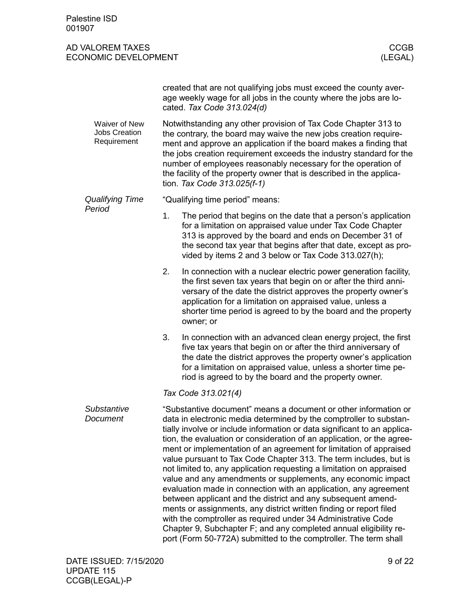|                                                             | created that are not qualifying jobs must exceed the county aver-<br>age weekly wage for all jobs in the county where the jobs are lo-<br>cated. Tax Code 313.024(d)                                                                                                                                                                                                                                                                                                                                                                                                                                                                                                                                                                                                                                                                                                                                                                                                                               |  |  |
|-------------------------------------------------------------|----------------------------------------------------------------------------------------------------------------------------------------------------------------------------------------------------------------------------------------------------------------------------------------------------------------------------------------------------------------------------------------------------------------------------------------------------------------------------------------------------------------------------------------------------------------------------------------------------------------------------------------------------------------------------------------------------------------------------------------------------------------------------------------------------------------------------------------------------------------------------------------------------------------------------------------------------------------------------------------------------|--|--|
| <b>Waiver of New</b><br><b>Jobs Creation</b><br>Requirement | Notwithstanding any other provision of Tax Code Chapter 313 to<br>the contrary, the board may waive the new jobs creation require-<br>ment and approve an application if the board makes a finding that<br>the jobs creation requirement exceeds the industry standard for the<br>number of employees reasonably necessary for the operation of<br>the facility of the property owner that is described in the applica-<br>tion. Tax Code 313.025(f-1)                                                                                                                                                                                                                                                                                                                                                                                                                                                                                                                                             |  |  |
| <b>Qualifying Time</b>                                      | "Qualifying time period" means:                                                                                                                                                                                                                                                                                                                                                                                                                                                                                                                                                                                                                                                                                                                                                                                                                                                                                                                                                                    |  |  |
| Period                                                      | 1.<br>The period that begins on the date that a person's application<br>for a limitation on appraised value under Tax Code Chapter<br>313 is approved by the board and ends on December 31 of<br>the second tax year that begins after that date, except as pro-<br>vided by items 2 and 3 below or Tax Code 313.027(h);                                                                                                                                                                                                                                                                                                                                                                                                                                                                                                                                                                                                                                                                           |  |  |
|                                                             | 2.<br>In connection with a nuclear electric power generation facility,<br>the first seven tax years that begin on or after the third anni-<br>versary of the date the district approves the property owner's<br>application for a limitation on appraised value, unless a<br>shorter time period is agreed to by the board and the property<br>owner; or                                                                                                                                                                                                                                                                                                                                                                                                                                                                                                                                                                                                                                           |  |  |
|                                                             | 3.<br>In connection with an advanced clean energy project, the first<br>five tax years that begin on or after the third anniversary of<br>the date the district approves the property owner's application<br>for a limitation on appraised value, unless a shorter time pe-<br>riod is agreed to by the board and the property owner.                                                                                                                                                                                                                                                                                                                                                                                                                                                                                                                                                                                                                                                              |  |  |
|                                                             | Tax Code 313.021(4)                                                                                                                                                                                                                                                                                                                                                                                                                                                                                                                                                                                                                                                                                                                                                                                                                                                                                                                                                                                |  |  |
| Substantive<br>Document                                     | "Substantive document" means a document or other information or<br>data in electronic media determined by the comptroller to substan-<br>tially involve or include information or data significant to an applica-<br>tion, the evaluation or consideration of an application, or the agree-<br>ment or implementation of an agreement for limitation of appraised<br>value pursuant to Tax Code Chapter 313. The term includes, but is<br>not limited to, any application requesting a limitation on appraised<br>value and any amendments or supplements, any economic impact<br>evaluation made in connection with an application, any agreement<br>between applicant and the district and any subsequent amend-<br>ments or assignments, any district written finding or report filed<br>with the comptroller as required under 34 Administrative Code<br>Chapter 9, Subchapter F; and any completed annual eligibility re-<br>port (Form 50-772A) submitted to the comptroller. The term shall |  |  |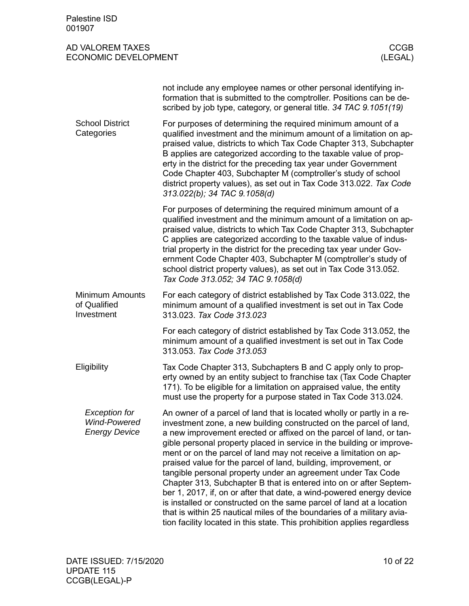<span id="page-9-2"></span><span id="page-9-1"></span><span id="page-9-0"></span>

| Palestine ISD<br>001907                                             |                                                                                                                                                                                                                                                                                                                                                                                                                                                                                                                                                                                                                                                                                                                                                                                                                                                                                  |             |
|---------------------------------------------------------------------|----------------------------------------------------------------------------------------------------------------------------------------------------------------------------------------------------------------------------------------------------------------------------------------------------------------------------------------------------------------------------------------------------------------------------------------------------------------------------------------------------------------------------------------------------------------------------------------------------------------------------------------------------------------------------------------------------------------------------------------------------------------------------------------------------------------------------------------------------------------------------------|-------------|
| AD VALOREM TAXES<br><b>ECONOMIC DEVELOPMENT</b>                     | (LEGAL)                                                                                                                                                                                                                                                                                                                                                                                                                                                                                                                                                                                                                                                                                                                                                                                                                                                                          | <b>CCGB</b> |
|                                                                     | not include any employee names or other personal identifying in-<br>formation that is submitted to the comptroller. Positions can be de-<br>scribed by job type, category, or general title. 34 TAC 9.1051(19)                                                                                                                                                                                                                                                                                                                                                                                                                                                                                                                                                                                                                                                                   |             |
| <b>School District</b><br>Categories                                | For purposes of determining the required minimum amount of a<br>qualified investment and the minimum amount of a limitation on ap-<br>praised value, districts to which Tax Code Chapter 313, Subchapter<br>B applies are categorized according to the taxable value of prop-<br>erty in the district for the preceding tax year under Government<br>Code Chapter 403, Subchapter M (comptroller's study of school<br>district property values), as set out in Tax Code 313.022. Tax Code<br>313.022(b); 34 TAC 9.1058(d)                                                                                                                                                                                                                                                                                                                                                        |             |
|                                                                     | For purposes of determining the required minimum amount of a<br>qualified investment and the minimum amount of a limitation on ap-<br>praised value, districts to which Tax Code Chapter 313, Subchapter<br>C applies are categorized according to the taxable value of indus-<br>trial property in the district for the preceding tax year under Gov-<br>ernment Code Chapter 403, Subchapter M (comptroller's study of<br>school district property values), as set out in Tax Code 313.052.<br>Tax Code 313.052; 34 TAC 9.1058(d)                                                                                                                                                                                                                                                                                                                                              |             |
| <b>Minimum Amounts</b><br>of Qualified<br>Investment                | For each category of district established by Tax Code 313.022, the<br>minimum amount of a qualified investment is set out in Tax Code<br>313.023. Tax Code 313.023                                                                                                                                                                                                                                                                                                                                                                                                                                                                                                                                                                                                                                                                                                               |             |
|                                                                     | For each category of district established by Tax Code 313.052, the<br>minimum amount of a qualified investment is set out in Tax Code<br>313.053. Tax Code 313.053                                                                                                                                                                                                                                                                                                                                                                                                                                                                                                                                                                                                                                                                                                               |             |
| Eligibility                                                         | Tax Code Chapter 313, Subchapters B and C apply only to prop-<br>erty owned by an entity subject to franchise tax (Tax Code Chapter<br>171). To be eligible for a limitation on appraised value, the entity<br>must use the property for a purpose stated in Tax Code 313.024.                                                                                                                                                                                                                                                                                                                                                                                                                                                                                                                                                                                                   |             |
| <b>Exception for</b><br><b>Wind-Powered</b><br><b>Energy Device</b> | An owner of a parcel of land that is located wholly or partly in a re-<br>investment zone, a new building constructed on the parcel of land,<br>a new improvement erected or affixed on the parcel of land, or tan-<br>gible personal property placed in service in the building or improve-<br>ment or on the parcel of land may not receive a limitation on ap-<br>praised value for the parcel of land, building, improvement, or<br>tangible personal property under an agreement under Tax Code<br>Chapter 313, Subchapter B that is entered into on or after Septem-<br>ber 1, 2017, if, on or after that date, a wind-powered energy device<br>is installed or constructed on the same parcel of land at a location<br>that is within 25 nautical miles of the boundaries of a military avia-<br>tion facility located in this state. This prohibition applies regardless |             |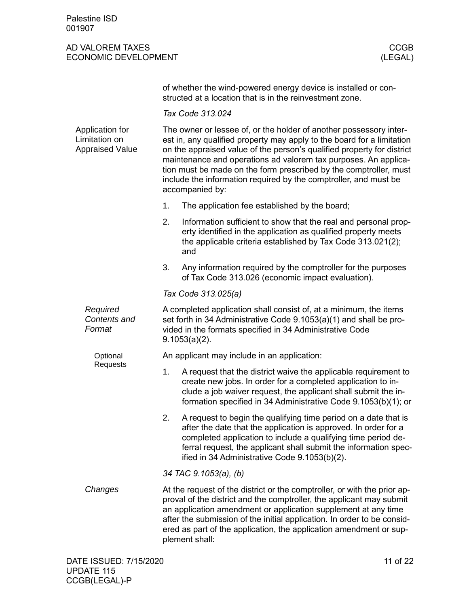| of whether the wind-powered energy device is installed or con- |
|----------------------------------------------------------------|
| structed at a location that is in the reinvestment zone.       |

*Tax Code 313.024*

<span id="page-10-0"></span>

| The owner or lessee of, or the holder of another possessory inter-<br>est in, any qualified property may apply to the board for a limitation<br>on the appraised value of the person's qualified property for district<br>maintenance and operations ad valorem tax purposes. An applica-<br>tion must be made on the form prescribed by the comptroller, must<br>include the information required by the comptroller, and must be<br>accompanied by: |                                                                                                                                                                                                                                                                                                                                                                                       |  |  |
|-------------------------------------------------------------------------------------------------------------------------------------------------------------------------------------------------------------------------------------------------------------------------------------------------------------------------------------------------------------------------------------------------------------------------------------------------------|---------------------------------------------------------------------------------------------------------------------------------------------------------------------------------------------------------------------------------------------------------------------------------------------------------------------------------------------------------------------------------------|--|--|
| 1.                                                                                                                                                                                                                                                                                                                                                                                                                                                    | The application fee established by the board;                                                                                                                                                                                                                                                                                                                                         |  |  |
| 2.                                                                                                                                                                                                                                                                                                                                                                                                                                                    | Information sufficient to show that the real and personal prop-<br>erty identified in the application as qualified property meets<br>the applicable criteria established by Tax Code 313.021(2);<br>and                                                                                                                                                                               |  |  |
| 3.                                                                                                                                                                                                                                                                                                                                                                                                                                                    | Any information required by the comptroller for the purposes<br>of Tax Code 313.026 (economic impact evaluation).                                                                                                                                                                                                                                                                     |  |  |
|                                                                                                                                                                                                                                                                                                                                                                                                                                                       | Tax Code 313.025(a)                                                                                                                                                                                                                                                                                                                                                                   |  |  |
| A completed application shall consist of, at a minimum, the items<br>set forth in 34 Administrative Code 9.1053(a)(1) and shall be pro-<br>vided in the formats specified in 34 Administrative Code<br>$9.1053(a)(2)$ .                                                                                                                                                                                                                               |                                                                                                                                                                                                                                                                                                                                                                                       |  |  |
|                                                                                                                                                                                                                                                                                                                                                                                                                                                       | An applicant may include in an application:                                                                                                                                                                                                                                                                                                                                           |  |  |
| 1.                                                                                                                                                                                                                                                                                                                                                                                                                                                    | A request that the district waive the applicable requirement to<br>create new jobs. In order for a completed application to in-<br>clude a job waiver request, the applicant shall submit the in-<br>formation specified in 34 Administrative Code 9.1053(b)(1); or                                                                                                                   |  |  |
| 2.                                                                                                                                                                                                                                                                                                                                                                                                                                                    | A request to begin the qualifying time period on a date that is<br>after the date that the application is approved. In order for a<br>completed application to include a qualifying time period de-<br>ferral request, the applicant shall submit the information spec-<br>ified in 34 Administrative Code 9.1053(b)(2).                                                              |  |  |
|                                                                                                                                                                                                                                                                                                                                                                                                                                                       | 34 TAC 9.1053(a), (b)                                                                                                                                                                                                                                                                                                                                                                 |  |  |
|                                                                                                                                                                                                                                                                                                                                                                                                                                                       | At the request of the district or the comptroller, or with the prior ap-<br>proval of the district and the comptroller, the applicant may submit<br>an application amendment or application supplement at any time<br>after the submission of the initial application. In order to be consid-<br>ered as part of the application, the application amendment or sup-<br>plement shall: |  |  |
|                                                                                                                                                                                                                                                                                                                                                                                                                                                       |                                                                                                                                                                                                                                                                                                                                                                                       |  |  |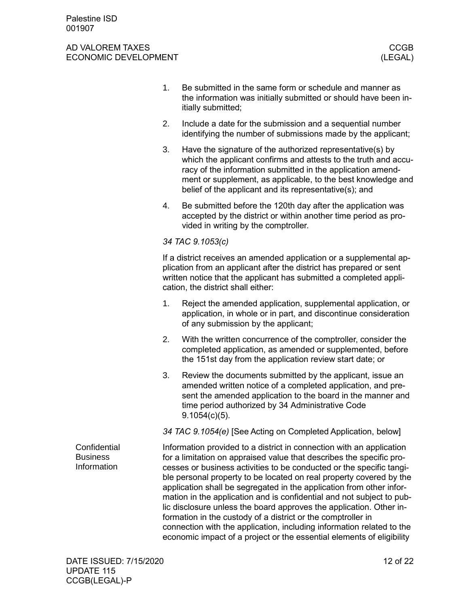<span id="page-11-0"></span>

|                                                | 1. | Be submitted in the same form or schedule and manner as<br>the information was initially submitted or should have been in-<br>itially submitted;                                                                                                                                                                                                                                                                                                                                                                                                                                                                                                                                                                                      |
|------------------------------------------------|----|---------------------------------------------------------------------------------------------------------------------------------------------------------------------------------------------------------------------------------------------------------------------------------------------------------------------------------------------------------------------------------------------------------------------------------------------------------------------------------------------------------------------------------------------------------------------------------------------------------------------------------------------------------------------------------------------------------------------------------------|
|                                                | 2. | Include a date for the submission and a sequential number<br>identifying the number of submissions made by the applicant;                                                                                                                                                                                                                                                                                                                                                                                                                                                                                                                                                                                                             |
|                                                | 3. | Have the signature of the authorized representative(s) by<br>which the applicant confirms and attests to the truth and accu-<br>racy of the information submitted in the application amend-<br>ment or supplement, as applicable, to the best knowledge and<br>belief of the applicant and its representative(s); and                                                                                                                                                                                                                                                                                                                                                                                                                 |
|                                                | 4. | Be submitted before the 120th day after the application was<br>accepted by the district or within another time period as pro-<br>vided in writing by the comptroller.                                                                                                                                                                                                                                                                                                                                                                                                                                                                                                                                                                 |
|                                                |    | 34 TAC 9.1053(c)                                                                                                                                                                                                                                                                                                                                                                                                                                                                                                                                                                                                                                                                                                                      |
|                                                |    | If a district receives an amended application or a supplemental ap-<br>plication from an applicant after the district has prepared or sent<br>written notice that the applicant has submitted a completed appli-<br>cation, the district shall either:                                                                                                                                                                                                                                                                                                                                                                                                                                                                                |
|                                                | 1. | Reject the amended application, supplemental application, or<br>application, in whole or in part, and discontinue consideration<br>of any submission by the applicant;                                                                                                                                                                                                                                                                                                                                                                                                                                                                                                                                                                |
|                                                | 2. | With the written concurrence of the comptroller, consider the<br>completed application, as amended or supplemented, before<br>the 151st day from the application review start date; or                                                                                                                                                                                                                                                                                                                                                                                                                                                                                                                                                |
|                                                | 3. | Review the documents submitted by the applicant, issue an<br>amended written notice of a completed application, and pre-<br>sent the amended application to the board in the manner and<br>time period authorized by 34 Administrative Code<br>$9.1054(c)(5)$ .                                                                                                                                                                                                                                                                                                                                                                                                                                                                       |
|                                                |    | 34 TAC 9.1054(e) [See Acting on Completed Application, below]                                                                                                                                                                                                                                                                                                                                                                                                                                                                                                                                                                                                                                                                         |
| Confidential<br><b>Business</b><br>Information |    | Information provided to a district in connection with an application<br>for a limitation on appraised value that describes the specific pro-<br>cesses or business activities to be conducted or the specific tangi-<br>ble personal property to be located on real property covered by the<br>application shall be segregated in the application from other infor-<br>mation in the application and is confidential and not subject to pub-<br>lic disclosure unless the board approves the application. Other in-<br>formation in the custody of a district or the comptroller in<br>connection with the application, including information related to the<br>economic impact of a project or the essential elements of eligibility |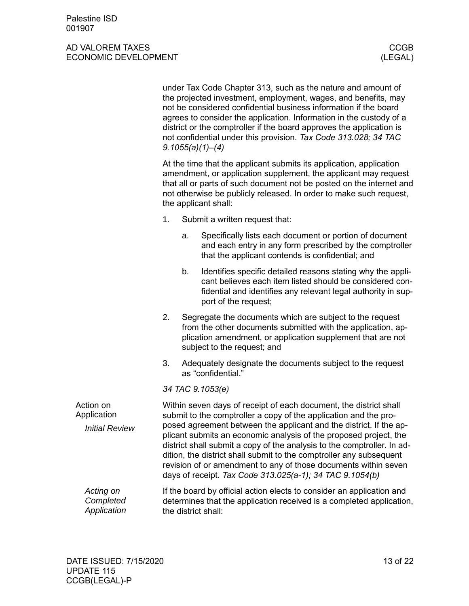<span id="page-12-0"></span>

|                                       | under Tax Code Chapter 313, such as the nature and amount of<br>the projected investment, employment, wages, and benefits, may<br>not be considered confidential business information if the board<br>agrees to consider the application. Information in the custody of a<br>district or the comptroller if the board approves the application is<br>not confidential under this provision. Tax Code 313.028; 34 TAC<br>9.1055(a)(1)–(4) |                  |                                                                                                                                                                                                                        |  |
|---------------------------------------|------------------------------------------------------------------------------------------------------------------------------------------------------------------------------------------------------------------------------------------------------------------------------------------------------------------------------------------------------------------------------------------------------------------------------------------|------------------|------------------------------------------------------------------------------------------------------------------------------------------------------------------------------------------------------------------------|--|
|                                       | At the time that the applicant submits its application, application<br>amendment, or application supplement, the applicant may request<br>that all or parts of such document not be posted on the internet and<br>not otherwise be publicly released. In order to make such request,<br>the applicant shall:                                                                                                                             |                  |                                                                                                                                                                                                                        |  |
|                                       | 1.                                                                                                                                                                                                                                                                                                                                                                                                                                       |                  | Submit a written request that:                                                                                                                                                                                         |  |
|                                       |                                                                                                                                                                                                                                                                                                                                                                                                                                          | a.               | Specifically lists each document or portion of document<br>and each entry in any form prescribed by the comptroller<br>that the applicant contends is confidential; and                                                |  |
|                                       |                                                                                                                                                                                                                                                                                                                                                                                                                                          | b.               | Identifies specific detailed reasons stating why the appli-<br>cant believes each item listed should be considered con-<br>fidential and identifies any relevant legal authority in sup-<br>port of the request;       |  |
|                                       | 2.                                                                                                                                                                                                                                                                                                                                                                                                                                       |                  | Segregate the documents which are subject to the request<br>from the other documents submitted with the application, ap-<br>plication amendment, or application supplement that are not<br>subject to the request; and |  |
|                                       | 3.                                                                                                                                                                                                                                                                                                                                                                                                                                       |                  | Adequately designate the documents subject to the request<br>as "confidential."                                                                                                                                        |  |
|                                       |                                                                                                                                                                                                                                                                                                                                                                                                                                          | 34 TAC 9.1053(e) |                                                                                                                                                                                                                        |  |
| Action on<br>Application              | Within seven days of receipt of each document, the district shall<br>submit to the comptroller a copy of the application and the pro-                                                                                                                                                                                                                                                                                                    |                  |                                                                                                                                                                                                                        |  |
| <b>Initial Review</b>                 | posed agreement between the applicant and the district. If the ap-<br>plicant submits an economic analysis of the proposed project, the<br>district shall submit a copy of the analysis to the comptroller. In ad-<br>dition, the district shall submit to the comptroller any subsequent<br>revision of or amendment to any of those documents within seven<br>days of receipt. Tax Code 313.025(a-1); 34 TAC 9.1054(b)                 |                  |                                                                                                                                                                                                                        |  |
| Acting on<br>Completed<br>Application | If the board by official action elects to consider an application and<br>determines that the application received is a completed application,<br>the district shall:                                                                                                                                                                                                                                                                     |                  |                                                                                                                                                                                                                        |  |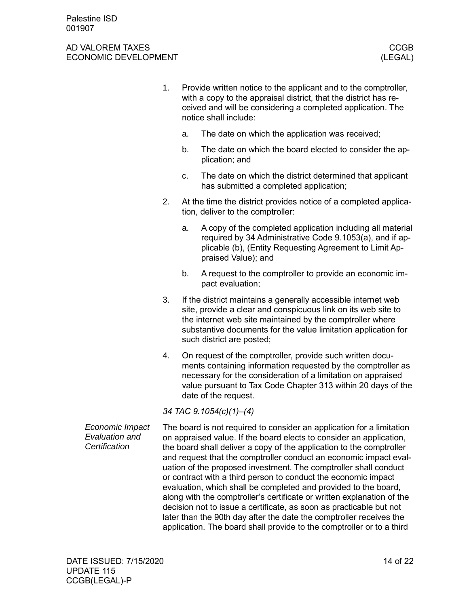- 1. Provide written notice to the applicant and to the comptroller, with a copy to the appraisal district, that the district has received and will be considering a completed application. The notice shall include:
	- a. The date on which the application was received;
	- b. The date on which the board elected to consider the application; and
	- c. The date on which the district determined that applicant has submitted a completed application;
- 2. At the time the district provides notice of a completed application, deliver to the comptroller:
	- a. A copy of the completed application including all material required by 34 Administrative Code 9.1053(a), and if applicable (b), (Entity Requesting Agreement to Limit Appraised Value); and
	- b. A request to the comptroller to provide an economic impact evaluation;
- 3. If the district maintains a generally accessible internet web site, provide a clear and conspicuous link on its web site to the internet web site maintained by the comptroller where substantive documents for the value limitation application for such district are posted;
- 4. On request of the comptroller, provide such written documents containing information requested by the comptroller as necessary for the consideration of a limitation on appraised value pursuant to Tax Code Chapter 313 within 20 days of the date of the request.

*34 TAC 9.1054(c)(1)–(4)*

The board is not required to consider an application for a limitation on appraised value. If the board elects to consider an application, the board shall deliver a copy of the application to the comptroller and request that the comptroller conduct an economic impact evaluation of the proposed investment. The comptroller shall conduct or contract with a third person to conduct the economic impact evaluation, which shall be completed and provided to the board, along with the comptroller's certificate or written explanation of the decision not to issue a certificate, as soon as practicable but not later than the 90th day after the date the comptroller receives the application. The board shall provide to the comptroller or to a third *Economic Impact Evaluation and Certification*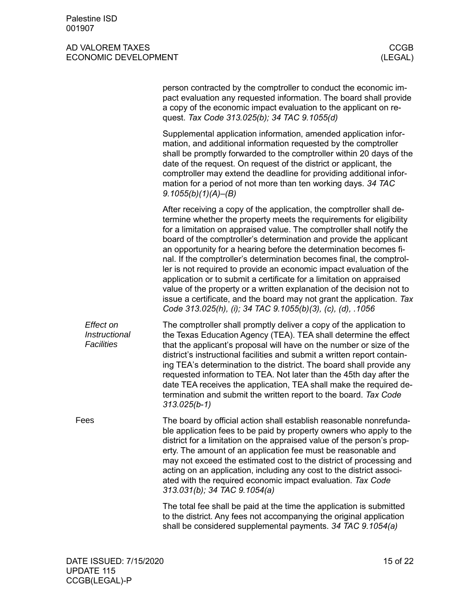<span id="page-14-0"></span>

|                                                 | person contracted by the comptroller to conduct the economic im-<br>pact evaluation any requested information. The board shall provide<br>a copy of the economic impact evaluation to the applicant on re-<br>quest. Tax Code 313.025(b); 34 TAC 9.1055(d)                                                                                                                                                                                                                                                                                                                                                                                                                                                                                                                                             |
|-------------------------------------------------|--------------------------------------------------------------------------------------------------------------------------------------------------------------------------------------------------------------------------------------------------------------------------------------------------------------------------------------------------------------------------------------------------------------------------------------------------------------------------------------------------------------------------------------------------------------------------------------------------------------------------------------------------------------------------------------------------------------------------------------------------------------------------------------------------------|
|                                                 | Supplemental application information, amended application infor-<br>mation, and additional information requested by the comptroller<br>shall be promptly forwarded to the comptroller within 20 days of the<br>date of the request. On request of the district or applicant, the<br>comptroller may extend the deadline for providing additional infor-<br>mation for a period of not more than ten working days. 34 TAC<br>9.1055(b)(1)(A)–(B)                                                                                                                                                                                                                                                                                                                                                        |
|                                                 | After receiving a copy of the application, the comptroller shall de-<br>termine whether the property meets the requirements for eligibility<br>for a limitation on appraised value. The comptroller shall notify the<br>board of the comptroller's determination and provide the applicant<br>an opportunity for a hearing before the determination becomes fi-<br>nal. If the comptroller's determination becomes final, the comptrol-<br>ler is not required to provide an economic impact evaluation of the<br>application or to submit a certificate for a limitation on appraised<br>value of the property or a written explanation of the decision not to<br>issue a certificate, and the board may not grant the application. Tax<br>Code 313.025(h), (i); 34 TAC 9.1055(b)(3), (c), (d), .1056 |
| Effect on<br>Instructional<br><b>Facilities</b> | The comptroller shall promptly deliver a copy of the application to<br>the Texas Education Agency (TEA). TEA shall determine the effect<br>that the applicant's proposal will have on the number or size of the<br>district's instructional facilities and submit a written report contain-<br>ing TEA's determination to the district. The board shall provide any<br>requested information to TEA. Not later than the 45th day after the<br>date TEA receives the application, TEA shall make the required de-<br>termination and submit the written report to the board. Tax Code<br>$313.025(b-1)$                                                                                                                                                                                                 |
| Fees                                            | The board by official action shall establish reasonable nonrefunda-<br>ble application fees to be paid by property owners who apply to the<br>district for a limitation on the appraised value of the person's prop-<br>erty. The amount of an application fee must be reasonable and<br>may not exceed the estimated cost to the district of processing and<br>acting on an application, including any cost to the district associ-<br>ated with the required economic impact evaluation. Tax Code<br>313.031(b); 34 TAC 9.1054(a)                                                                                                                                                                                                                                                                    |
|                                                 | The total fee shall be paid at the time the application is submitted<br>to the district. Any fees not accompanying the original application<br>shall be considered supplemental payments. 34 TAC 9.1054(a)                                                                                                                                                                                                                                                                                                                                                                                                                                                                                                                                                                                             |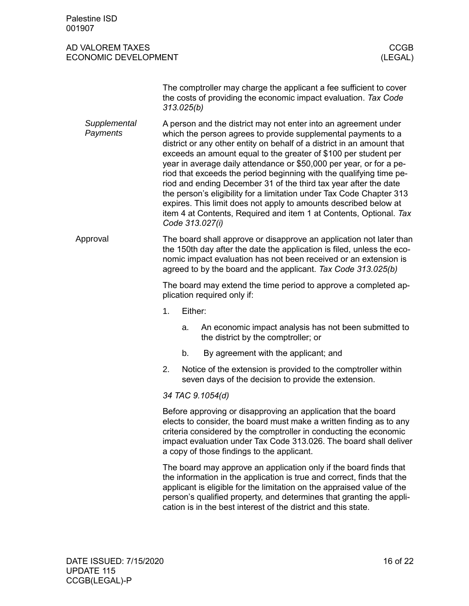<span id="page-15-0"></span>

| Palestine ISD<br>001907                         |                                                                                                                                                                                                                                                                                                                                                                                                                                                                                                                                                                                                                                                                                                                                      |                                                                                                                                       |  |  |  |
|-------------------------------------------------|--------------------------------------------------------------------------------------------------------------------------------------------------------------------------------------------------------------------------------------------------------------------------------------------------------------------------------------------------------------------------------------------------------------------------------------------------------------------------------------------------------------------------------------------------------------------------------------------------------------------------------------------------------------------------------------------------------------------------------------|---------------------------------------------------------------------------------------------------------------------------------------|--|--|--|
| AD VALOREM TAXES<br><b>ECONOMIC DEVELOPMENT</b> |                                                                                                                                                                                                                                                                                                                                                                                                                                                                                                                                                                                                                                                                                                                                      | <b>CCGB</b><br>(LEGAL)                                                                                                                |  |  |  |
|                                                 | 313.025(b)                                                                                                                                                                                                                                                                                                                                                                                                                                                                                                                                                                                                                                                                                                                           | The comptroller may charge the applicant a fee sufficient to cover<br>the costs of providing the economic impact evaluation. Tax Code |  |  |  |
| Supplemental<br>Payments                        | A person and the district may not enter into an agreement under<br>which the person agrees to provide supplemental payments to a<br>district or any other entity on behalf of a district in an amount that<br>exceeds an amount equal to the greater of \$100 per student per<br>year in average daily attendance or \$50,000 per year, or for a pe-<br>riod that exceeds the period beginning with the qualifying time pe-<br>riod and ending December 31 of the third tax year after the date<br>the person's eligibility for a limitation under Tax Code Chapter 313<br>expires. This limit does not apply to amounts described below at<br>item 4 at Contents, Required and item 1 at Contents, Optional. Tax<br>Code 313.027(i) |                                                                                                                                       |  |  |  |
| Approval                                        | The board shall approve or disapprove an application not later than<br>the 150th day after the date the application is filed, unless the eco-<br>nomic impact evaluation has not been received or an extension is<br>agreed to by the board and the applicant. Tax Code 313.025(b)                                                                                                                                                                                                                                                                                                                                                                                                                                                   |                                                                                                                                       |  |  |  |
|                                                 |                                                                                                                                                                                                                                                                                                                                                                                                                                                                                                                                                                                                                                                                                                                                      | The board may extend the time period to approve a completed ap-<br>plication required only if:                                        |  |  |  |
|                                                 | 1.                                                                                                                                                                                                                                                                                                                                                                                                                                                                                                                                                                                                                                                                                                                                   | Either:                                                                                                                               |  |  |  |
|                                                 | a.                                                                                                                                                                                                                                                                                                                                                                                                                                                                                                                                                                                                                                                                                                                                   | An economic impact analysis has not been submitted to<br>the district by the comptroller; or                                          |  |  |  |
|                                                 | b.                                                                                                                                                                                                                                                                                                                                                                                                                                                                                                                                                                                                                                                                                                                                   | By agreement with the applicant; and                                                                                                  |  |  |  |
|                                                 | 2.                                                                                                                                                                                                                                                                                                                                                                                                                                                                                                                                                                                                                                                                                                                                   | Notice of the extension is provided to the comptroller within<br>seven days of the decision to provide the extension.                 |  |  |  |
|                                                 | 34 TAC 9.1054(d)                                                                                                                                                                                                                                                                                                                                                                                                                                                                                                                                                                                                                                                                                                                     |                                                                                                                                       |  |  |  |
|                                                 | Before approving or disapproving an application that the board<br>elects to consider, the board must make a written finding as to any<br>criteria considered by the comptroller in conducting the economic<br>impact evaluation under Tax Code 313.026. The board shall deliver<br>a copy of those findings to the applicant.                                                                                                                                                                                                                                                                                                                                                                                                        |                                                                                                                                       |  |  |  |
|                                                 | The board may approve an application only if the board finds that<br>the information in the application is true and correct, finds that the<br>applicant is eligible for the limitation on the appraised value of the<br>person's qualified property, and determines that granting the appli-<br>cation is in the best interest of the district and this state.                                                                                                                                                                                                                                                                                                                                                                      |                                                                                                                                       |  |  |  |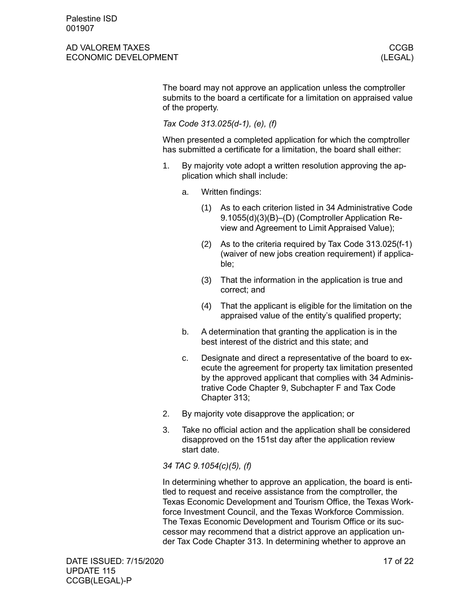The board may not approve an application unless the comptroller submits to the board a certificate for a limitation on appraised value of the property.

*Tax Code 313.025(d-1), (e), (f)*

When presented a completed application for which the comptroller has submitted a certificate for a limitation, the board shall either:

- 1. By majority vote adopt a written resolution approving the application which shall include:
	- a. Written findings:
		- (1) As to each criterion listed in 34 Administrative Code 9.1055(d)(3)(B)–(D) (Comptroller Application Review and Agreement to Limit Appraised Value);
		- (2) As to the criteria required by Tax Code 313.025(f-1) (waiver of new jobs creation requirement) if applicable;
		- (3) That the information in the application is true and correct; and
		- (4) That the applicant is eligible for the limitation on the appraised value of the entity's qualified property;
	- b. A determination that granting the application is in the best interest of the district and this state; and
	- c. Designate and direct a representative of the board to execute the agreement for property tax limitation presented by the approved applicant that complies with 34 Administrative Code Chapter 9, Subchapter F and Tax Code Chapter 313;
- 2. By majority vote disapprove the application; or
- 3. Take no official action and the application shall be considered disapproved on the 151st day after the application review start date.

*34 TAC 9.1054(c)(5), (f)*

In determining whether to approve an application, the board is entitled to request and receive assistance from the comptroller, the Texas Economic Development and Tourism Office, the Texas Workforce Investment Council, and the Texas Workforce Commission. The Texas Economic Development and Tourism Office or its successor may recommend that a district approve an application under Tax Code Chapter 313. In determining whether to approve an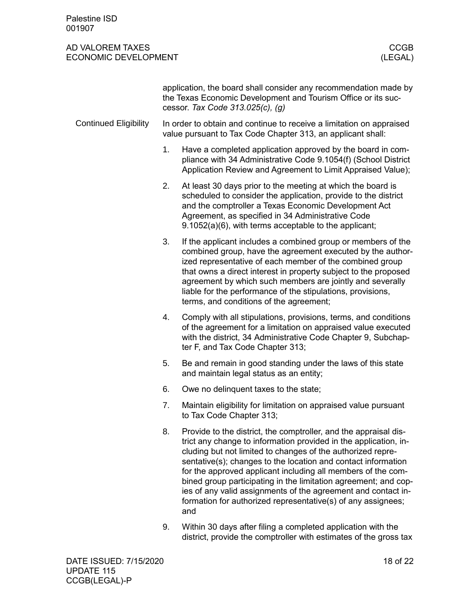Palestine ISD 001907

### AD VALOREM TAXES CCGB ECONOMIC DEVELOPMENT

<span id="page-17-0"></span>

|                              | application, the board shall consider any recommendation made by<br>the Texas Economic Development and Tourism Office or its suc-<br>cessor. Tax Code 313.025(c), (g) |                                                                                                                                                                                                                                                                                                                                                                                                                                                                                                                                          |  |  |
|------------------------------|-----------------------------------------------------------------------------------------------------------------------------------------------------------------------|------------------------------------------------------------------------------------------------------------------------------------------------------------------------------------------------------------------------------------------------------------------------------------------------------------------------------------------------------------------------------------------------------------------------------------------------------------------------------------------------------------------------------------------|--|--|
| <b>Continued Eligibility</b> |                                                                                                                                                                       | In order to obtain and continue to receive a limitation on appraised<br>value pursuant to Tax Code Chapter 313, an applicant shall:                                                                                                                                                                                                                                                                                                                                                                                                      |  |  |
|                              | 1.                                                                                                                                                                    | Have a completed application approved by the board in com-<br>pliance with 34 Administrative Code 9.1054(f) (School District<br>Application Review and Agreement to Limit Appraised Value);                                                                                                                                                                                                                                                                                                                                              |  |  |
|                              | 2.                                                                                                                                                                    | At least 30 days prior to the meeting at which the board is<br>scheduled to consider the application, provide to the district<br>and the comptroller a Texas Economic Development Act<br>Agreement, as specified in 34 Administrative Code<br>9.1052(a)(6), with terms acceptable to the applicant;                                                                                                                                                                                                                                      |  |  |
|                              | 3.                                                                                                                                                                    | If the applicant includes a combined group or members of the<br>combined group, have the agreement executed by the author-<br>ized representative of each member of the combined group<br>that owns a direct interest in property subject to the proposed<br>agreement by which such members are jointly and severally<br>liable for the performance of the stipulations, provisions,<br>terms, and conditions of the agreement;                                                                                                         |  |  |
|                              | 4.                                                                                                                                                                    | Comply with all stipulations, provisions, terms, and conditions<br>of the agreement for a limitation on appraised value executed<br>with the district, 34 Administrative Code Chapter 9, Subchap-<br>ter F, and Tax Code Chapter 313;                                                                                                                                                                                                                                                                                                    |  |  |
|                              | 5.                                                                                                                                                                    | Be and remain in good standing under the laws of this state<br>and maintain legal status as an entity;                                                                                                                                                                                                                                                                                                                                                                                                                                   |  |  |
|                              | 6.                                                                                                                                                                    | Owe no delinguent taxes to the state;                                                                                                                                                                                                                                                                                                                                                                                                                                                                                                    |  |  |
|                              | 7.                                                                                                                                                                    | Maintain eligibility for limitation on appraised value pursuant<br>to Tax Code Chapter 313;                                                                                                                                                                                                                                                                                                                                                                                                                                              |  |  |
|                              | 8.                                                                                                                                                                    | Provide to the district, the comptroller, and the appraisal dis-<br>trict any change to information provided in the application, in-<br>cluding but not limited to changes of the authorized repre-<br>sentative(s); changes to the location and contact information<br>for the approved applicant including all members of the com-<br>bined group participating in the limitation agreement; and cop-<br>ies of any valid assignments of the agreement and contact in-<br>formation for authorized representative(s) of any assignees; |  |  |

9. Within 30 days after filing a completed application with the district, provide the comptroller with estimates of the gross tax

and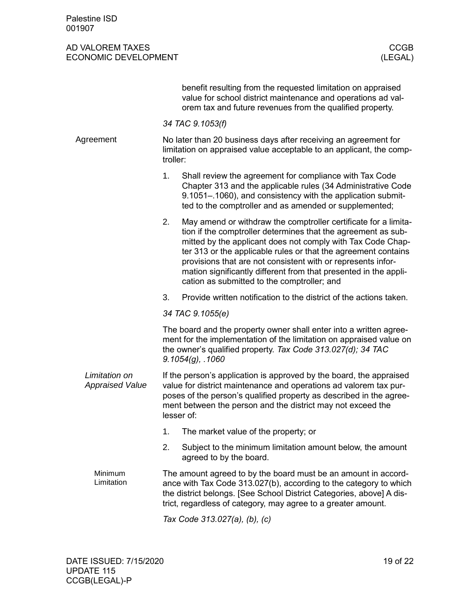<span id="page-18-0"></span>

|                                         | benefit resulting from the requested limitation on appraised<br>value for school district maintenance and operations ad val-<br>orem tax and future revenues from the qualified property.                                                                                                                                                                                                                                                                  |  |  |
|-----------------------------------------|------------------------------------------------------------------------------------------------------------------------------------------------------------------------------------------------------------------------------------------------------------------------------------------------------------------------------------------------------------------------------------------------------------------------------------------------------------|--|--|
|                                         | 34 TAC 9.1053(f)                                                                                                                                                                                                                                                                                                                                                                                                                                           |  |  |
| Agreement                               | No later than 20 business days after receiving an agreement for<br>limitation on appraised value acceptable to an applicant, the comp-<br>troller:                                                                                                                                                                                                                                                                                                         |  |  |
|                                         | 1.<br>Shall review the agreement for compliance with Tax Code<br>Chapter 313 and the applicable rules (34 Administrative Code<br>9.1051-.1060), and consistency with the application submit-<br>ted to the comptroller and as amended or supplemented;                                                                                                                                                                                                     |  |  |
|                                         | May amend or withdraw the comptroller certificate for a limita-<br>2.<br>tion if the comptroller determines that the agreement as sub-<br>mitted by the applicant does not comply with Tax Code Chap-<br>ter 313 or the applicable rules or that the agreement contains<br>provisions that are not consistent with or represents infor-<br>mation significantly different from that presented in the appli-<br>cation as submitted to the comptroller; and |  |  |
|                                         | 3.<br>Provide written notification to the district of the actions taken.                                                                                                                                                                                                                                                                                                                                                                                   |  |  |
|                                         | 34 TAC 9.1055(e)                                                                                                                                                                                                                                                                                                                                                                                                                                           |  |  |
|                                         | The board and the property owner shall enter into a written agree-<br>ment for the implementation of the limitation on appraised value on<br>the owner's qualified property. Tax Code 313.027(d); 34 TAC<br>$9.1054(g)$ , .1060                                                                                                                                                                                                                            |  |  |
| Limitation on<br><b>Appraised Value</b> | If the person's application is approved by the board, the appraised<br>value for district maintenance and operations ad valorem tax pur-<br>poses of the person's qualified property as described in the agree-<br>ment between the person and the district may not exceed the<br>lesser of:                                                                                                                                                               |  |  |
|                                         | The market value of the property; or<br>1.                                                                                                                                                                                                                                                                                                                                                                                                                 |  |  |
|                                         | Subject to the minimum limitation amount below, the amount<br>2.<br>agreed to by the board.                                                                                                                                                                                                                                                                                                                                                                |  |  |
| Minimum<br>Limitation                   | The amount agreed to by the board must be an amount in accord-<br>ance with Tax Code 313.027(b), according to the category to which<br>the district belongs. [See School District Categories, above] A dis-<br>trict, regardless of category, may agree to a greater amount.                                                                                                                                                                               |  |  |
|                                         | Tax Code 313.027(a), (b), (c)                                                                                                                                                                                                                                                                                                                                                                                                                              |  |  |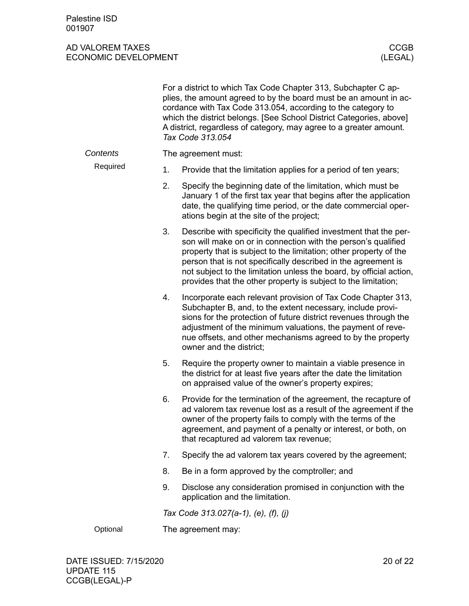|          |                    | For a district to which Tax Code Chapter 313, Subchapter C ap-<br>plies, the amount agreed to by the board must be an amount in ac-<br>cordance with Tax Code 313.054, according to the category to<br>which the district belongs. [See School District Categories, above]<br>A district, regardless of category, may agree to a greater amount.<br>Tax Code 313.054                                             |  |  |  |
|----------|--------------------|------------------------------------------------------------------------------------------------------------------------------------------------------------------------------------------------------------------------------------------------------------------------------------------------------------------------------------------------------------------------------------------------------------------|--|--|--|
| Contents |                    | The agreement must:                                                                                                                                                                                                                                                                                                                                                                                              |  |  |  |
| Required | 1.                 | Provide that the limitation applies for a period of ten years;                                                                                                                                                                                                                                                                                                                                                   |  |  |  |
|          | 2.                 | Specify the beginning date of the limitation, which must be<br>January 1 of the first tax year that begins after the application<br>date, the qualifying time period, or the date commercial oper-<br>ations begin at the site of the project;                                                                                                                                                                   |  |  |  |
|          | 3.                 | Describe with specificity the qualified investment that the per-<br>son will make on or in connection with the person's qualified<br>property that is subject to the limitation; other property of the<br>person that is not specifically described in the agreement is<br>not subject to the limitation unless the board, by official action,<br>provides that the other property is subject to the limitation; |  |  |  |
| 4.       |                    | Incorporate each relevant provision of Tax Code Chapter 313,<br>Subchapter B, and, to the extent necessary, include provi-<br>sions for the protection of future district revenues through the<br>adjustment of the minimum valuations, the payment of reve-<br>nue offsets, and other mechanisms agreed to by the property<br>owner and the district;                                                           |  |  |  |
|          | 5.                 | Require the property owner to maintain a viable presence in<br>the district for at least five years after the date the limitation<br>on appraised value of the owner's property expires;                                                                                                                                                                                                                         |  |  |  |
|          | 6.                 | Provide for the termination of the agreement, the recapture of<br>ad valorem tax revenue lost as a result of the agreement if the<br>owner of the property fails to comply with the terms of the<br>agreement, and payment of a penalty or interest, or both, on<br>that recaptured ad valorem tax revenue;                                                                                                      |  |  |  |
|          | 7.                 | Specify the ad valorem tax years covered by the agreement;                                                                                                                                                                                                                                                                                                                                                       |  |  |  |
|          | 8.                 | Be in a form approved by the comptroller; and                                                                                                                                                                                                                                                                                                                                                                    |  |  |  |
|          | 9.                 | Disclose any consideration promised in conjunction with the<br>application and the limitation.                                                                                                                                                                                                                                                                                                                   |  |  |  |
|          |                    | Tax Code 313.027(a-1), (e), (f), (j)                                                                                                                                                                                                                                                                                                                                                                             |  |  |  |
| Optional | The agreement may: |                                                                                                                                                                                                                                                                                                                                                                                                                  |  |  |  |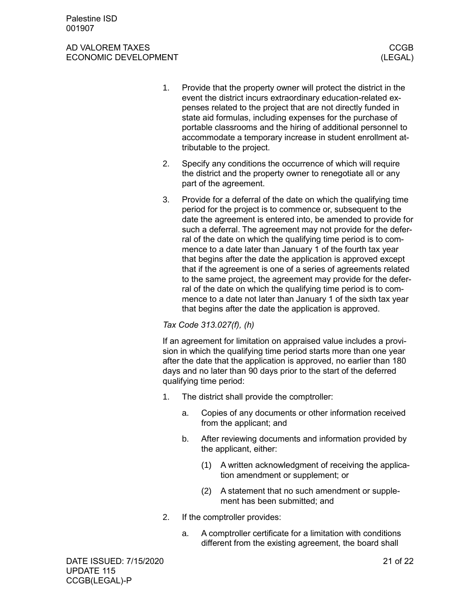- 1. Provide that the property owner will protect the district in the event the district incurs extraordinary education-related expenses related to the project that are not directly funded in state aid formulas, including expenses for the purchase of portable classrooms and the hiring of additional personnel to accommodate a temporary increase in student enrollment attributable to the project.
- 2. Specify any conditions the occurrence of which will require the district and the property owner to renegotiate all or any part of the agreement.
- 3. Provide for a deferral of the date on which the qualifying time period for the project is to commence or, subsequent to the date the agreement is entered into, be amended to provide for such a deferral. The agreement may not provide for the deferral of the date on which the qualifying time period is to commence to a date later than January 1 of the fourth tax year that begins after the date the application is approved except that if the agreement is one of a series of agreements related to the same project, the agreement may provide for the deferral of the date on which the qualifying time period is to commence to a date not later than January 1 of the sixth tax year that begins after the date the application is approved.

### *Tax Code 313.027(f), (h)*

If an agreement for limitation on appraised value includes a provision in which the qualifying time period starts more than one year after the date that the application is approved, no earlier than 180 days and no later than 90 days prior to the start of the deferred qualifying time period:

- 1. The district shall provide the comptroller:
	- a. Copies of any documents or other information received from the applicant; and
	- b. After reviewing documents and information provided by the applicant, either:
		- (1) A written acknowledgment of receiving the application amendment or supplement; or
		- (2) A statement that no such amendment or supplement has been submitted; and
- 2. If the comptroller provides:
	- a. A comptroller certificate for a limitation with conditions different from the existing agreement, the board shall